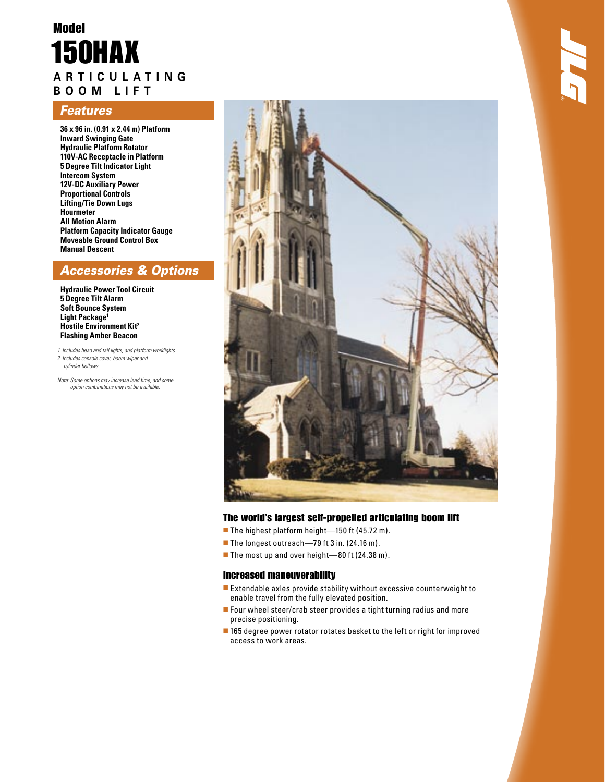# Model **A R T I C U L A T I N G**  150HAX

# **B O O M L I F T**

## **Features**

**36 x 96 in. (0.91 x 2.44 m) Platform Inward Swinging Gate Hydraulic Platform Rotator 110V-AC Receptacle in Platform 5 Degree Tilt Indicator Light Intercom System 12V-DC Auxiliary Power Proportional Controls Lifting/Tie Down Lugs Hourmeter All Motion Alarm Platform Capacity Indicator Gauge Moveable Ground Control Box Manual Descent**

## Accessories & Options

**Hydraulic Power Tool Circuit 5 Degree Tilt Alarm Soft Bounce System Light Package<sup>1</sup> Hostile Environment Kit2 Flashing Amber Beacon**

1. Includes head and tail lights, and platform worklights. 2. Includes console cover, boom wiper and cylinder bellows.

Note: Some options may increase lead time, and some option combinations may not be available.



## The world's largest self-propelled articulating boom lift

- The highest platform height-150 ft (45.72 m).
- The longest outreach—79 ft 3 in. (24.16 m).
- The most up and over height—80 ft (24.38 m).

### Increased maneuverability

- Extendable axles provide stability without excessive counterweight to enable travel from the fully elevated position.
- Four wheel steer/crab steer provides a tight turning radius and more precise positioning.
- 165 degree power rotator rotates basket to the left or right for improved access to work areas.